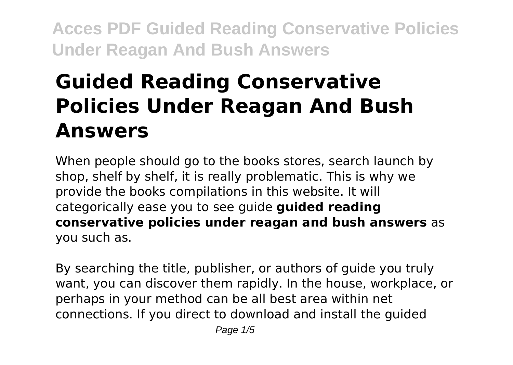# **Guided Reading Conservative Policies Under Reagan And Bush Answers**

When people should go to the books stores, search launch by shop, shelf by shelf, it is really problematic. This is why we provide the books compilations in this website. It will categorically ease you to see guide **guided reading conservative policies under reagan and bush answers** as you such as.

By searching the title, publisher, or authors of guide you truly want, you can discover them rapidly. In the house, workplace, or perhaps in your method can be all best area within net connections. If you direct to download and install the guided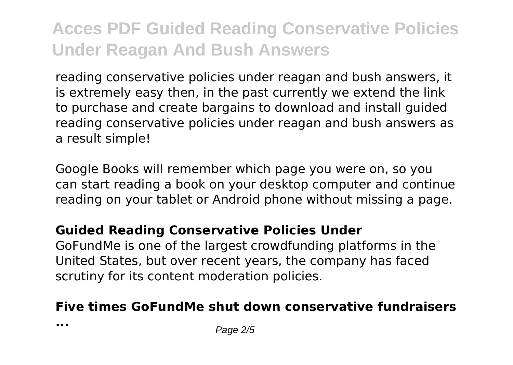reading conservative policies under reagan and bush answers, it is extremely easy then, in the past currently we extend the link to purchase and create bargains to download and install guided reading conservative policies under reagan and bush answers as a result simple!

Google Books will remember which page you were on, so you can start reading a book on your desktop computer and continue reading on your tablet or Android phone without missing a page.

#### **Guided Reading Conservative Policies Under**

GoFundMe is one of the largest crowdfunding platforms in the United States, but over recent years, the company has faced scrutiny for its content moderation policies.

### **Five times GoFundMe shut down conservative fundraisers**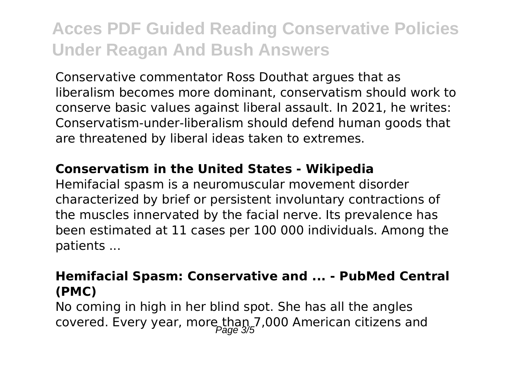Conservative commentator Ross Douthat argues that as liberalism becomes more dominant, conservatism should work to conserve basic values against liberal assault. In 2021, he writes: Conservatism-under-liberalism should defend human goods that are threatened by liberal ideas taken to extremes.

#### **Conservatism in the United States - Wikipedia**

Hemifacial spasm is a neuromuscular movement disorder characterized by brief or persistent involuntary contractions of the muscles innervated by the facial nerve. Its prevalence has been estimated at 11 cases per 100 000 individuals. Among the patients ...

#### **Hemifacial Spasm: Conservative and ... - PubMed Central (PMC)**

No coming in high in her blind spot. She has all the angles covered. Every year, more than 7,000 American citizens and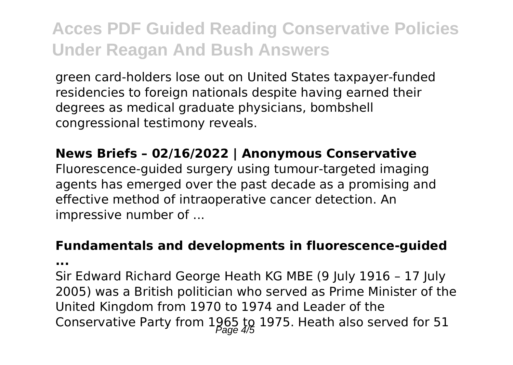green card-holders lose out on United States taxpayer-funded residencies to foreign nationals despite having earned their degrees as medical graduate physicians, bombshell congressional testimony reveals.

#### **News Briefs – 02/16/2022 | Anonymous Conservative**

Fluorescence-guided surgery using tumour-targeted imaging agents has emerged over the past decade as a promising and effective method of intraoperative cancer detection. An impressive number of ...

#### **Fundamentals and developments in fluorescence-guided**

**...**

Sir Edward Richard George Heath KG MBE (9 July 1916 – 17 July 2005) was a British politician who served as Prime Minister of the United Kingdom from 1970 to 1974 and Leader of the Conservative Party from  $1965$  to 1975. Heath also served for 51